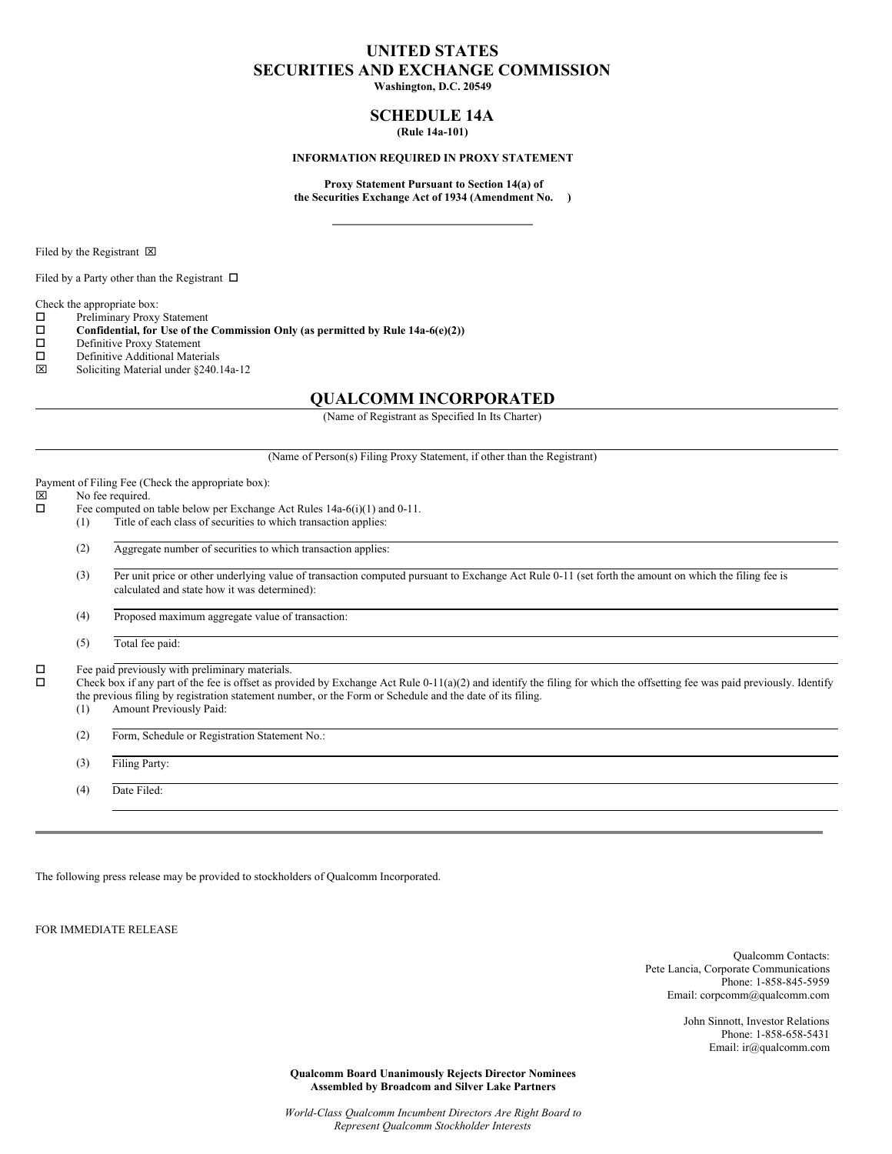# **UNITED STATES SECURITIES AND EXCHANGE COMMISSION**

**Washington, D.C. 20549**

## **SCHEDULE 14A (Rule 14a-101)**

### **INFORMATION REQUIRED IN PROXY STATEMENT**

**Proxy Statement Pursuant to Section 14(a) of the Securities Exchange Act of 1934 (Amendment No. )**

Filed by the Registrant  $\boxtimes$ 

Filed by a Party other than the Registrant  $\,\,\square\,\,$ 

Check the appropriate box:

 $\square$  Preliminary Proxy Statement<br> $\square$  Confidential, for Use of the

**Confidential, for** Use of the Commission Only (as permitted by Rule  $14a-6(e)(2)$ )<br>Definitive Proxy Statement

- Definitive Proxy Statement
- $\square$  Definitive Additional Materials<br> $\square$  Soliciting Material under \$240.
- x Soliciting Material under §240.14a-12

# **QUALCOMM INCORPORATED**

(Name of Registrant as Specified In Its Charter)

(Name of Person(s) Filing Proxy Statement, if other than the Registrant)

Payment of Filing Fee (Check the appropriate box):<br> $\boxtimes$  No fee required.

# $\boxtimes$  No fee required.<br> $\Box$  Fee computed on

- Fee computed on table below per Exchange Act Rules 14a-6(i)(1) and 0-11. (1) Title of each class of securities to which transaction applies:
	- (2) Aggregate number of securities to which transaction applies:

(3) Per unit price or other underlying value of transaction computed pursuant to Exchange Act Rule 0-11 (set forth the amount on which the filing fee is calculated and state how it was determined):

(4) Proposed maximum aggregate value of transaction:

(5) Total fee paid:

 $\square$  Fee paid previously with preliminary materials.<br> $\square$  Check box if any part of the fee is offset as prov

o Check box if any part of the fee is offset as provided by Exchange Act Rule 0-11(a)(2) and identify the filing for which the offsetting fee was paid previously. Identify the previous filing by registration statement number, or the Form or Schedule and the date of its filing.

(1) Amount Previously Paid:

(2) Form, Schedule or Registration Statement No.:

(3) Filing Party:

(4) Date Filed:

The following press release may be provided to stockholders of Qualcomm Incorporated.

FOR IMMEDIATE RELEASE

Qualcomm Contacts: Pete Lancia, Corporate Communications Phone: 1-858-845-5959 Email: corpcomm@qualcomm.com

> John Sinnott, Investor Relations Phone: 1-858-658-5431 Email: ir@qualcomm.com

**Qualcomm Board Unanimously Rejects Director Nominees Assembled by Broadcom and Silver Lake Partners**